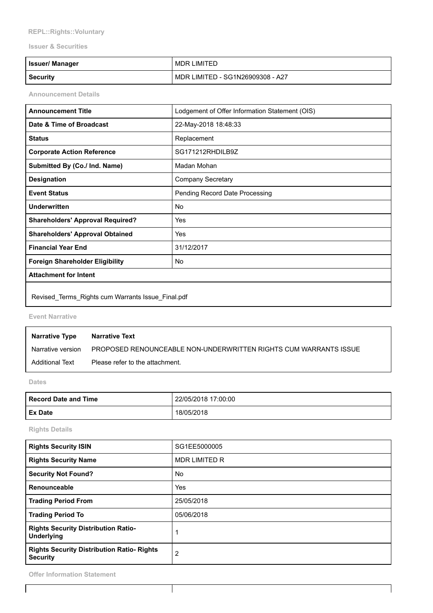## REPL::Rights::Voluntary

## Issuer & Securities

| <b>Issuer/ Manager</b> | MDR LIMITED                      |
|------------------------|----------------------------------|
| <b>Security</b>        | MDR LIMITED - SG1N26909308 - A27 |

Announcement Details

| <b>Announcement Title</b>                         | Lodgement of Offer Information Statement (OIS) |  |
|---------------------------------------------------|------------------------------------------------|--|
| Date & Time of Broadcast                          | 22-May-2018 18:48:33                           |  |
| <b>Status</b>                                     | Replacement                                    |  |
| <b>Corporate Action Reference</b>                 | SG171212RHDILB9Z                               |  |
| Submitted By (Co./ Ind. Name)                     | Madan Mohan                                    |  |
| <b>Designation</b>                                | <b>Company Secretary</b>                       |  |
| <b>Event Status</b>                               | Pending Record Date Processing                 |  |
| Underwritten                                      | No                                             |  |
| <b>Shareholders' Approval Required?</b>           | Yes                                            |  |
| <b>Shareholders' Approval Obtained</b>            | Yes                                            |  |
| <b>Financial Year End</b>                         | 31/12/2017                                     |  |
| <b>Foreign Shareholder Eligibility</b><br>No      |                                                |  |
| <b>Attachment for Intent</b>                      |                                                |  |
| Revised_Terms_Rights cum Warrants Issue_Final.pdf |                                                |  |

Event Narrative

| <b>Narrative Type</b> | Narrative Text                                                   |
|-----------------------|------------------------------------------------------------------|
| Narrative version     | PROPOSED RENOUNCEABLE NON-UNDERWRITTEN RIGHTS CUM WARRANTS ISSUE |
| Additional Text       | Please refer to the attachment.                                  |

Dates

| <b>Record Date and Time</b> | 22/05/2018 17:00:00 |  |
|-----------------------------|---------------------|--|
| <b>Ex Date</b>              | 18/05/2018          |  |

Rights Details

| <b>Rights Security ISIN</b>                                          | SG1EE5000005         |
|----------------------------------------------------------------------|----------------------|
| <b>Rights Security Name</b>                                          | <b>MDR LIMITED R</b> |
| <b>Security Not Found?</b>                                           | No                   |
| Renounceable                                                         | Yes                  |
| <b>Trading Period From</b>                                           | 25/05/2018           |
| <b>Trading Period To</b>                                             | 05/06/2018           |
| <b>Rights Security Distribution Ratio-</b><br><b>Underlying</b>      |                      |
| <b>Rights Security Distribution Ratio- Rights</b><br><b>Security</b> | $\overline{2}$       |

 $\mathsf{l}$ 

 $\mathbf l$ 

Offer Information Statement